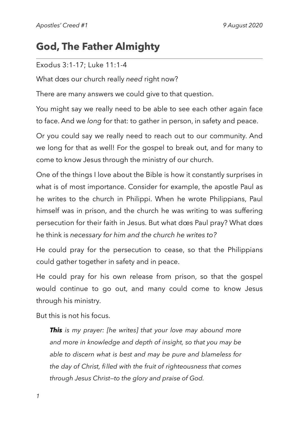# **God, The Father Almighty**

#### Exodus 3:1-17; Luke 11:1-4

What dœs our church really *need* right now?

There are many answers we could give to that question.

You might say we really need to be able to see each other again face to face. And we *long* for that: to gather in person, in safety and peace.

Or you could say we really need to reach out to our community. And we long for that as well! For the gospel to break out, and for many to come to know Jesus through the ministry of our church.

One of the things I love about the Bible is how it constantly surprises in what is of most importance. Consider for example, the apostle Paul as he writes to the church in Philippi. When he wrote Philippians, Paul himself was in prison, and the church he was writing to was suffering persecution for their faith in Jesus. But what dœs Paul pray? What dœs he think is *necessary for him and the church he writes to?* 

He could pray for the persecution to cease, so that the Philippians could gather together in safety and in peace.

He could pray for his own release from prison, so that the gospel would continue to go out, and many could come to know Jesus through his ministry.

But this is not his focus.

*This is my prayer: [he writes] that your love may abound more and more in knowledge and depth of insight, so that you may be able to discern what is best and may be pure and blameless for the day of Christ, filled with the fruit of righteousness that comes through Jesus Christ—to the glory and praise of God.*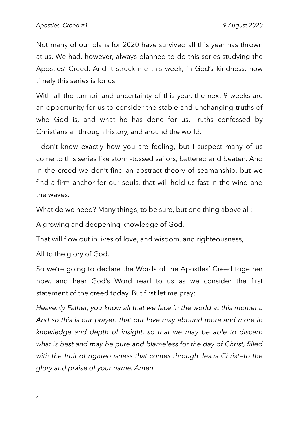Not many of our plans for 2020 have survived all this year has thrown at us. We had, however, always planned to do this series studying the Apostles' Creed. And it struck me this week, in God's kindness, how timely this series is for us.

With all the turmoil and uncertainty of this year, the next 9 weeks are an opportunity for us to consider the stable and unchanging truths of who God is, and what he has done for us. Truths confessed by Christians all through history, and around the world.

I don't know exactly how you are feeling, but I suspect many of us come to this series like storm-tossed sailors, battered and beaten. And in the creed we don't find an abstract theory of seamanship, but we find a firm anchor for our souls, that will hold us fast in the wind and the waves.

What do we need? Many things, to be sure, but one thing above all:

A growing and deepening knowledge of God,

That will flow out in lives of love, and wisdom, and righteousness,

All to the glory of God.

So we're going to declare the Words of the Apostles' Creed together now, and hear God's Word read to us as we consider the first statement of the creed today. But first let me pray:

*Heavenly Father, you know all that we face in the world at this moment. And so this is our prayer: that our love may abound more and more in knowledge and depth of insight, so that we may be able to discern what is best and may be pure and blameless for the day of Christ, filled with the fruit of righteousness that comes through Jesus Christ—to the glory and praise of your name. Amen.*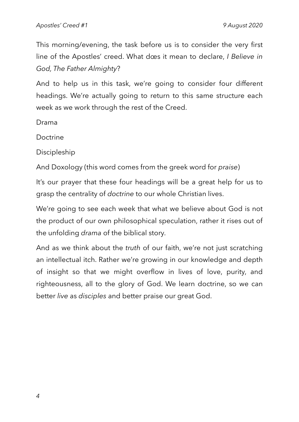This morning/evening, the task before us is to consider the very first line of the Apostles' creed. What dœs it mean to declare, *I Believe in God, The Father Almighty*?

And to help us in this task, we're going to consider four different headings. We're actually going to return to this same structure each week as we work through the rest of the Creed.

Drama

Doctrine

Discipleship

And Doxology (this word comes from the greek word for *praise*)

It's our prayer that these four headings will be a great help for us to grasp the centrality of *doctrine* to our whole Christian lives.

We're going to see each week that what we believe about God is not the product of our own philosophical speculation, rather it rises out of the unfolding *drama* of the biblical story.

And as we think about the *truth* of our faith, we're not just scratching an intellectual itch. Rather we're growing in our knowledge and depth of insight so that we might overflow in lives of love, purity, and righteousness, all to the glory of God. We learn doctrine, so we can better *live* as *disciples* and better praise our great God.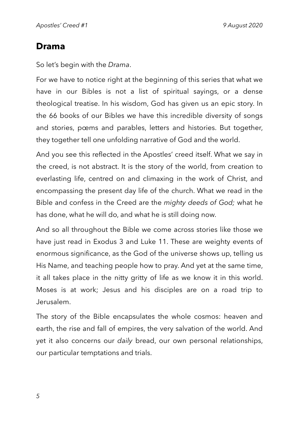## **Drama**

So let's begin with the *Drama*.

For we have to notice right at the beginning of this series that what we have in our Bibles is not a list of spiritual sayings, or a dense theological treatise. In his wisdom, God has given us an epic story. In the 66 books of our Bibles we have this incredible diversity of songs and stories, pœms and parables, letters and histories. But together, they together tell one unfolding narrative of God and the world.

And you see this reflected in the Apostles' creed itself. What we say in the creed, is not abstract. It is the story of the world, from creation to everlasting life, centred on and climaxing in the work of Christ, and encompassing the present day life of the church. What we read in the Bible and confess in the Creed are the *mighty deeds of God;* what he has done, what he will do, and what he is still doing now.

And so all throughout the Bible we come across stories like those we have just read in Exodus 3 and Luke 11. These are weighty events of enormous significance, as the God of the universe shows up, telling us His Name, and teaching people how to pray. And yet at the same time, it all takes place in the nitty gritty of life as we know it in this world. Moses is at work; Jesus and his disciples are on a road trip to Jerusalem.

The story of the Bible encapsulates the whole cosmos: heaven and earth, the rise and fall of empires, the very salvation of the world. And yet it also concerns our *daily* bread, our own personal relationships, our particular temptations and trials.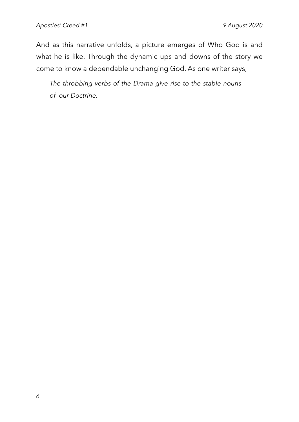And as this narrative unfolds, a picture emerges of Who God is and what he is like. Through the dynamic ups and downs of the story we come to know a dependable unchanging God. As one writer says,

*The throbbing verbs of the Drama give rise to the stable nouns of our Doctrine.*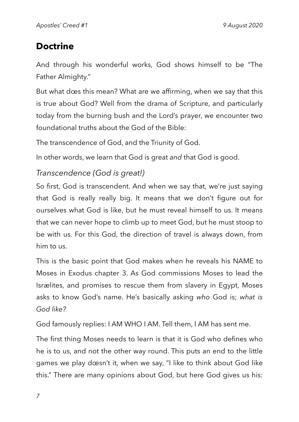# **Doctrine**

And through his wonderful works, God shows himself to be "The Father Almighty."

But what dœs this mean? What are we affirming, when we say that this is true about God? Well from the drama of Scripture, and particularly today from the burning bush and the Lord's prayer, we encounter two foundational truths about the God of the Bible:

The transcendence of God, and the Triunity of God.

In other words, we learn that God is great *and* that God is good.

### *Transcendence (God is great!)*

So first, God is transcendent. And when we say that, we're just saying that God is really really big. It means that we don't figure out for ourselves what God is like, but he must reveal himself to us. It means that we can never hope to climb up to meet God, but he must stoop to be with us. For this God, the direction of travel is always down, from him to us.

This is the basic point that God makes when he reveals his NAME to Moses in Exodus chapter 3. As God commissions Moses to lead the Isrælites, and promises to rescue them from slavery in Egypt, Moses asks to know God's name. He's basically asking *who* God is; *what is God like?* 

God famously replies: I AM WHO I AM. Tell them, I AM has sent me.

The first thing Moses needs to learn is that it is God who defines who he is to us, and not the other way round. This puts an end to the little games we play dœsn't it, when we say, "I like to think about God like this." There are many opinions about God, but here God gives us his: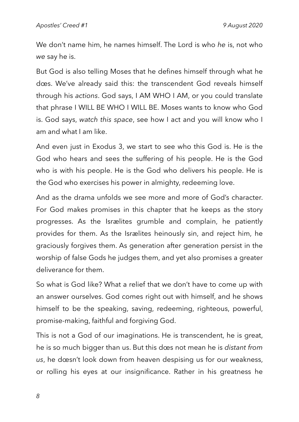We don't name him, he names himself. The Lord is who *he* is, not who *we* say he is.

But God is also telling Moses that he defines himself through what he dœs. We've already said this: the transcendent God reveals himself through his *actions*. God says, I AM WHO I AM, or you could translate that phrase I WILL BE WHO I WILL BE. Moses wants to know who God is. God says, *watch this space*, see how I act and you will know who I am and what I am like.

And even just in Exodus 3, we start to see who this God is. He is the God who hears and sees the suffering of his people. He is the God who is with his people. He is the God who delivers his people. He is the God who exercises his power in almighty, redeeming love.

And as the drama unfolds we see more and more of God's character. For God makes promises in this chapter that he keeps as the story progresses. As the Isrælites grumble and complain, he patiently provides for them. As the Isrælites heinously sin, and reject him, he graciously forgives them. As generation after generation persist in the worship of false Gods he judges them, and yet also promises a greater deliverance for them.

So what is God like? What a relief that we don't have to come up with an answer ourselves. God comes right out with himself, and he shows himself to be the speaking, saving, redeeming, righteous, powerful, promise-making, faithful and forgiving God.

This is not a God of our imaginations. He is transcendent, he is great, he is so much bigger than us. But this dœs not mean he is *distant from us*, he dœsn't look down from heaven despising us for our weakness, or rolling his eyes at our insignificance. Rather in his greatness he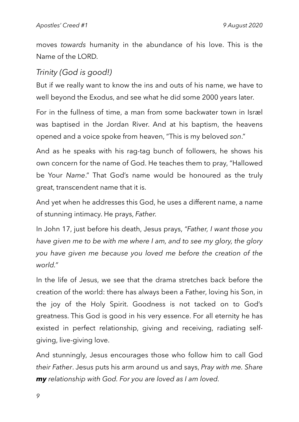moves *towards* humanity in the abundance of his love. This is the Name of the LORD.

## *Trinity (God is good!)*

But if we really want to know the ins and outs of his name, we have to well beyond the Exodus, and see what he did some 2000 years later.

For in the fullness of time, a man from some backwater town in Isræl was baptised in the Jordan River. And at his baptism, the heavens opened and a voice spoke from heaven, "This is my beloved *son*."

And as he speaks with his rag-tag bunch of followers, he shows his own concern for the name of God. He teaches them to pray, "Hallowed be Your *Name*." That God's name would be honoured as the truly great, transcendent name that it is.

And yet when he addresses this God, he uses a different name, a name of stunning intimacy. He prays, *Father.* 

In John 17, just before his death, Jesus prays, *"Father, I want those you have given me to be with me where I am, and to see my glory, the glory you have given me because you loved me before the creation of the world."*

In the life of Jesus, we see that the drama stretches back before the creation of the world: there has always been a Father, loving his Son, in the joy of the Holy Spirit. Goodness is not tacked on to God's greatness. This God is good in his very essence. For all eternity he has existed in perfect relationship, giving and receiving, radiating selfgiving, live-giving love.

And stunningly, Jesus encourages those who follow him to call God *their Father*. Jesus puts his arm around us and says, *Pray with me. Share my relationship with God. For you are loved as I am loved.*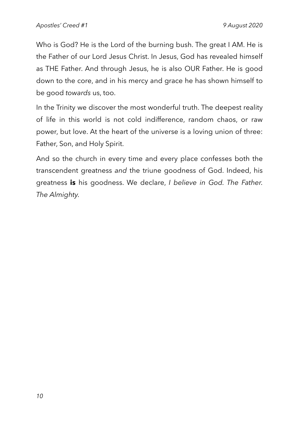Who is God? He is the Lord of the burning bush. The great I AM. He is the Father of our Lord Jesus Christ. In Jesus, God has revealed himself as THE Father. And through Jesus, he is also OUR Father. He is good down to the core, and in his mercy and grace he has shown himself to be good *towards* us, too.

In the Trinity we discover the most wonderful truth. The deepest reality of life in this world is not cold indifference, random chaos, or raw power, but love. At the heart of the universe is a loving union of three: Father, Son, and Holy Spirit.

And so the church in every time and every place confesses both the transcendent greatness *and* the triune goodness of God. Indeed, his greatness **is** his goodness. We declare, *I believe in God. The Father. The Almighty.*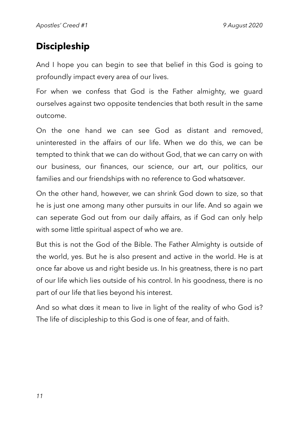# **Discipleship**

And I hope you can begin to see that belief in this God is going to profoundly impact every area of our lives.

For when we confess that God is the Father almighty, we guard ourselves against two opposite tendencies that both result in the same outcome.

On the one hand we can see God as distant and removed, uninterested in the affairs of our life. When we do this, we can be tempted to think that we can do without God, that we can carry on with our business, our finances, our science, our art, our politics, our families and our friendships with no reference to God whatsœver.

On the other hand, however, we can shrink God down to size, so that he is just one among many other pursuits in our life. And so again we can seperate God out from our daily affairs, as if God can only help with some little spiritual aspect of who we are.

But this is not the God of the Bible. The Father Almighty is outside of the world, yes. But he is also present and active in the world. He is at once far above us and right beside us. In his greatness, there is no part of our life which lies outside of his control. In his goodness, there is no part of our life that lies beyond his interest.

And so what dœs it mean to live in light of the reality of who God is? The life of discipleship to this God is one of fear, and of faith.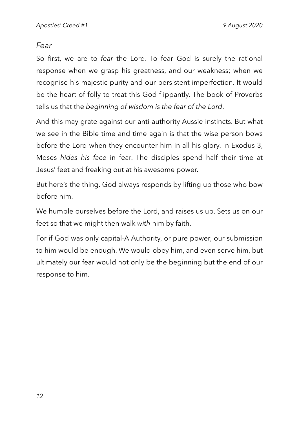### *Fear*

So first, we are to *fear* the Lord. To fear God is surely the rational response when we grasp his greatness, and our weakness; when we recognise his majestic purity and our persistent imperfection. It would be the heart of folly to treat this God flippantly. The book of Proverbs tells us that the *beginning of wisdom is the fear of the Lord*.

And this may grate against our anti-authority Aussie instincts. But what we see in the Bible time and time again is that the wise person bows before the Lord when they encounter him in all his glory. In Exodus 3, Moses *hides his face* in fear. The disciples spend half their time at Jesus' feet and freaking out at his awesome power.

But here's the thing. God always responds by lifting up those who bow before him.

We humble ourselves before the Lord, and raises us up. Sets us on our feet so that we might then walk *with* him by faith.

For if God was only capital-A Authority, or pure power, our submission to him would be enough. We would obey him, and even serve him, but ultimately our fear would not only be the beginning but the end of our response to him.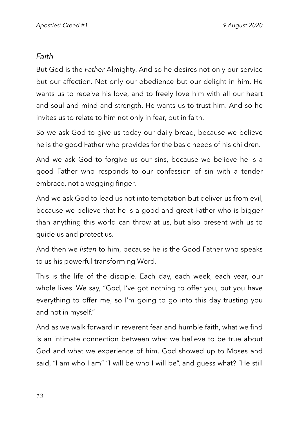### *Faith*

But God is the *Father* Almighty. And so he desires not only our service but our affection. Not only our obedience but our delight in him. He wants us to receive his love, and to freely love him with all our heart and soul and mind and strength. He wants us to trust him. And so he invites us to relate to him not only in fear, but in faith.

So we ask God to give us today our daily bread, because we believe he is the good Father who provides for the basic needs of his children.

And we ask God to forgive us our sins, because we believe he is a good Father who responds to our confession of sin with a tender embrace, not a wagging finger.

And we ask God to lead us not into temptation but deliver us from evil, because we believe that he is a good and great Father who is bigger than anything this world can throw at us, but also present with us to guide us and protect us.

And then we *listen* to him, because he is the Good Father who speaks to us his powerful transforming Word.

This is the life of the disciple. Each day, each week, each year, our whole lives. We say, "God, I've got nothing to offer you, but you have everything to offer me, so I'm going to go into this day trusting you and not in myself."

And as we walk forward in reverent fear and humble faith, what we find is an intimate connection between what we believe to be true about God and what we experience of him. God showed up to Moses and said, "I am who I am" "I will be who I will be", and guess what? "He still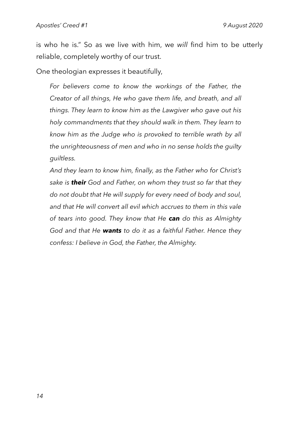is who he is." So as we live with him, we *will* find him to be utterly reliable, completely worthy of our trust.

One theologian expresses it beautifully,

*For believers come to know the workings of the Father, the Creator of all things, He who gave them life, and breath, and all things. They learn to know him as the Lawgiver who gave out his holy commandments that they should walk in them. They learn to know him as the Judge who is provoked to terrible wrath by all the unrighteousness of men and who in no sense holds the guilty guiltless.* 

*And they learn to know him, finally, as the Father who for Christ's sake is their God and Father, on whom they trust so far that they do not doubt that He will supply for every need of body and soul, and that He will convert all evil which accrues to them in this vale of tears into good. They know that He can do this as Almighty God and that He wants to do it as a faithful Father. Hence they confess: I believe in God, the Father, the Almighty.*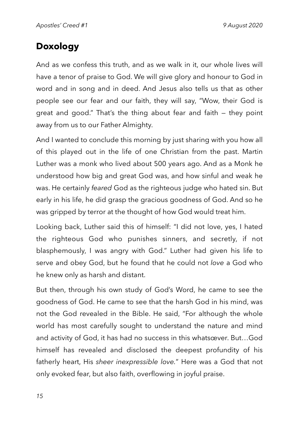# **Doxology**

And as we confess this truth, and as we walk in it, our whole lives will have a tenor of praise to God. We will give glory and honour to God in word and in song and in deed. And Jesus also tells us that as other people see our fear and our faith, they will say, "Wow, their God is great and good." That's the thing about fear and faith — they point away from us to our Father Almighty.

And I wanted to conclude this morning by just sharing with you how all of this played out in the life of one Christian from the past. Martin Luther was a monk who lived about 500 years ago. And as a Monk he understood how big and great God was, and how sinful and weak he was. He certainly *feared* God as the righteous judge who hated sin. But early in his life, he did grasp the gracious goodness of God. And so he was gripped by terror at the thought of how God would treat him.

Looking back, Luther said this of himself: "I did not love, yes, I hated the righteous God who punishes sinners, and secretly, if not blasphemously, I was angry with God." Luther had given his life to serve and obey God, but he found that he could not *love* a God who he knew only as harsh and distant.

But then, through his own study of God's Word, he came to see the goodness of God. He came to see that the harsh God in his mind, was not the God revealed in the Bible. He said, "For although the whole world has most carefully sought to understand the nature and mind and activity of God, it has had no success in this whatsœver. But…God himself has revealed and disclosed the deepest profundity of his fatherly heart, His *sheer inexpressible love.*" Here was a God that not only evoked fear, but also faith, overflowing in joyful praise.